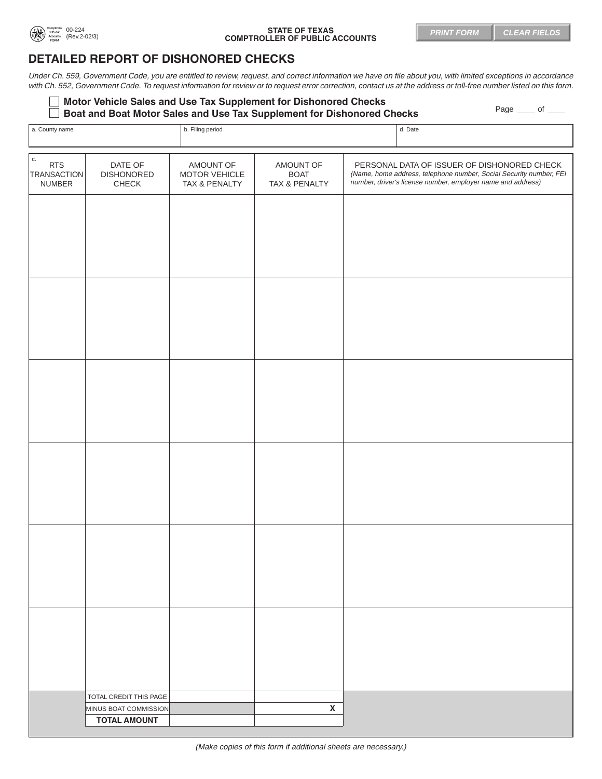

## 00-224 **STATE OF TEXAS**  (Rev.2-02/3) **COMPTROLLER OF PUBLIC ACCOUNTS**

## **DETAILED REPORT OF DISHONORED CHECKS**

Under Ch. 559, Government Code, you are entitled to review, request, and correct information we have on file about you, with limited exceptions in accordance with Ch. 552, Government Code. To request information for review or to request error correction, contact us at the address or toll-free number listed on this form.

| Motor Vehicle Sales and Use Tax Supplement for Dishonored Checks       |                    |
|------------------------------------------------------------------------|--------------------|
| Boat and Boat Motor Sales and Use Tax Supplement for Dishonored Checks | Page _____ of ____ |

| a. County name                                             |                                       | b. Filing period                            |                                           | d. Date |                                                                                                                                                                                  |
|------------------------------------------------------------|---------------------------------------|---------------------------------------------|-------------------------------------------|---------|----------------------------------------------------------------------------------------------------------------------------------------------------------------------------------|
| $\sqrt{c}$ .<br><b>RTS</b><br><b>TRANSACTION</b><br>NUMBER | DATE OF<br><b>DISHONORED</b><br>CHECK | AMOUNT OF<br>MOTOR VEHICLE<br>TAX & PENALTY | AMOUNT OF<br><b>BOAT</b><br>TAX & PENALTY |         | PERSONAL DATA OF ISSUER OF DISHONORED CHECK<br>(Name, home address, telephone number, Social Security number, FEI<br>number, driver's license number, employer name and address) |
|                                                            |                                       |                                             |                                           |         |                                                                                                                                                                                  |
|                                                            |                                       |                                             |                                           |         |                                                                                                                                                                                  |
|                                                            |                                       |                                             |                                           |         |                                                                                                                                                                                  |
|                                                            |                                       |                                             |                                           |         |                                                                                                                                                                                  |
|                                                            |                                       |                                             |                                           |         |                                                                                                                                                                                  |
|                                                            |                                       |                                             |                                           |         |                                                                                                                                                                                  |
|                                                            |                                       |                                             |                                           |         |                                                                                                                                                                                  |
|                                                            |                                       |                                             |                                           |         |                                                                                                                                                                                  |
|                                                            |                                       |                                             |                                           |         |                                                                                                                                                                                  |
|                                                            |                                       |                                             |                                           |         |                                                                                                                                                                                  |
|                                                            |                                       |                                             |                                           |         |                                                                                                                                                                                  |
|                                                            |                                       |                                             |                                           |         |                                                                                                                                                                                  |
|                                                            |                                       |                                             |                                           |         |                                                                                                                                                                                  |
|                                                            | TOTAL CREDIT THIS PAGE                |                                             |                                           |         |                                                                                                                                                                                  |
|                                                            | MINUS BOAT COMMISSION                 |                                             | $\pmb{\mathsf{X}}$                        |         |                                                                                                                                                                                  |
|                                                            | <b>TOTAL AMOUNT</b>                   |                                             |                                           |         |                                                                                                                                                                                  |
|                                                            |                                       |                                             |                                           |         |                                                                                                                                                                                  |